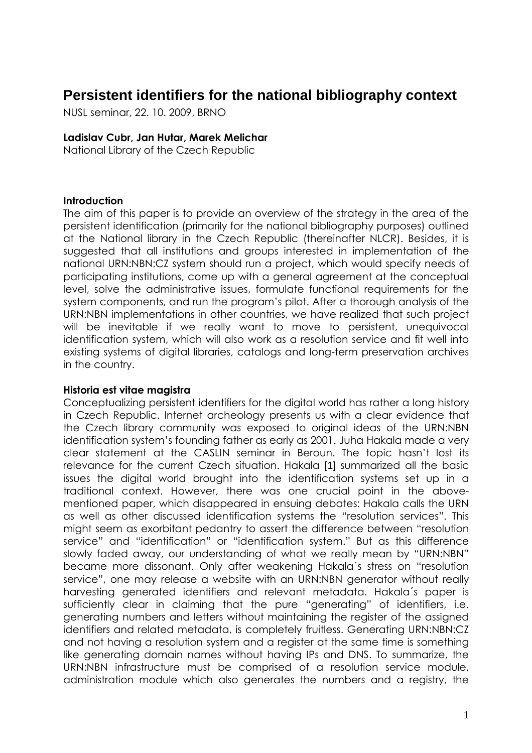# **Persistent identifiers for the national bibliography context**

NUSL seminar, 22. 10. 2009, BRNO

#### Ladislav Cubr, Jan Hutar, Marek Melichar

National Library of the Czech Republic

#### Introduction

The aim of this paper is to provide an overview of the strategy in the area of the persistent identification (primarily for the national bibliography purposes) outlined at the National library in the Czech Republic (thereinafter NLCR). Besides, it is suggested that all institutions and groups interested in implementation of the national URN:NBN:CZ system should run a project, which would specify needs of participating institutions, come up with a general agreement at the conceptual level, solve the administrative issues, formulate functional requirements for the system components, and run the program's pilot. After a thorough analysis of the URN:NBN implementations in other countries, we have realized that such project will be inevitable if we really want to move to persistent, unequivocal identification system, which will also work as a resolution service and fit well into existing systems of digital libraries, catalogs and long-term preservation archives in the country.

## Historia est vitae magistra

Conceptualizing persistent identifiers for the digital world has rather a long history in Czech Republic. Internet archeology presents us with a clear evidence that the Czech library community was exposed to original ideas of the URN:NBN identification system's founding father as early as 2001. Juha Hakala made a very clear statement at the CASLIN seminar in Beroun. The topic hasn't lost its relevance for the current Czech situation. Hakala [1] summarized all the basic issues the digital world brought into the identification systems set up in a traditional context. However, there was one crucial point in the abovementioned paper, which disappeared in ensuing debates: Hakala calls the URN as well as other discussed identification systems the "resolution services". This might seem as exorbitant pedantry to assert the difference between "resolution service" and "identification" or "identification system." But as this difference slowly faded away, our understanding of what we really mean by "URN:NBN" became more dissonant. Only after weakening Hakala´s stress on "resolution service", one may release a website with an URN:NBN generator without really harvesting generated identifiers and relevant metadata. Hakala´s paper is sufficiently clear in claiming that the pure "generating" of identifiers, i.e. generating numbers and letters without maintaining the register of the assigned identifiers and related metadata, is completely fruitless. Generating URN:NBN:CZ and not having a resolution system and a register at the same time is something like generating domain names without having IPs and DNS. To summarize, the URN:NBN infrastructure must be comprised of a resolution service module, administration module which also generates the numbers and a registry, the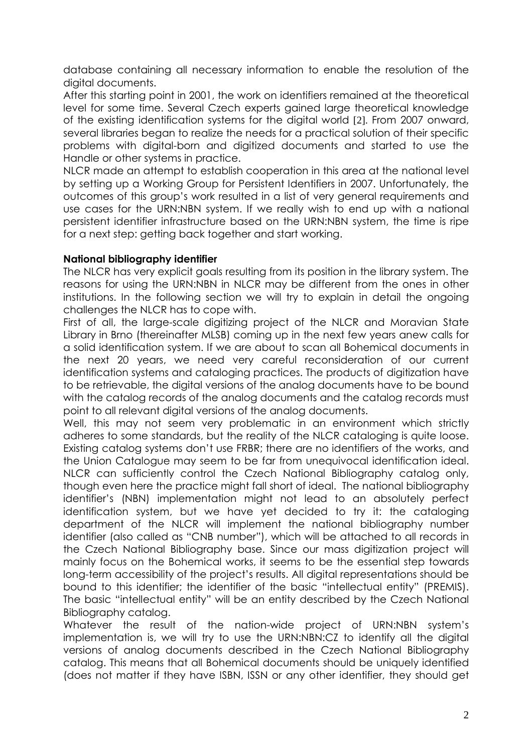database containing all necessary information to enable the resolution of the digital documents.

After this starting point in 2001, the work on identifiers remained at the theoretical level for some time. Several Czech experts gained large theoretical knowledge of the existing identification systems for the digital world [2]. From 2007 onward, several libraries began to realize the needs for a practical solution of their specific problems with digital-born and digitized documents and started to use the Handle or other systems in practice.

NLCR made an attempt to establish cooperation in this area at the national level by setting up a Working Group for Persistent Identifiers in 2007. Unfortunately, the outcomes of this group's work resulted in a list of very general requirements and use cases for the URN:NBN system. If we really wish to end up with a national persistent identifier infrastructure based on the URN:NBN system, the time is ripe for a next step: getting back together and start working.

## National bibliography identifier

The NLCR has very explicit goals resulting from its position in the library system. The reasons for using the URN:NBN in NLCR may be different from the ones in other institutions. In the following section we will try to explain in detail the ongoing challenges the NLCR has to cope with.

First of all, the large-scale digitizing project of the NLCR and Moravian State Library in Brno (thereinafter MLSB) coming up in the next few years anew calls for a solid identification system. If we are about to scan all Bohemical documents in the next 20 years, we need very careful reconsideration of our current identification systems and cataloging practices. The products of digitization have to be retrievable, the digital versions of the analog documents have to be bound with the catalog records of the analog documents and the catalog records must point to all relevant digital versions of the analog documents.

Well, this may not seem very problematic in an environment which strictly adheres to some standards, but the reality of the NLCR cataloging is quite loose. Existing catalog systems don't use FRBR; there are no identifiers of the works, and the Union Catalogue may seem to be far from unequivocal identification ideal. NLCR can sufficiently control the Czech National Bibliography catalog only, though even here the practice might fall short of ideal. The national bibliography identifier's (NBN) implementation might not lead to an absolutely perfect identification system, but we have yet decided to try it: the cataloging department of the NLCR will implement the national bibliography number identifier (also called as "CNB number"), which will be attached to all records in the Czech National Bibliography base. Since our mass digitization project will mainly focus on the Bohemical works, it seems to be the essential step towards long-term accessibility of the project's results. All digital representations should be bound to this identifier; the identifier of the basic "intellectual entity" (PREMIS). The basic "intellectual entity" will be an entity described by the Czech National Bibliography catalog.

Whatever the result of the nation-wide project of URN:NBN system's implementation is, we will try to use the URN:NBN:CZ to identify all the digital versions of analog documents described in the Czech National Bibliography catalog. This means that all Bohemical documents should be uniquely identified (does not matter if they have ISBN, ISSN or any other identifier, they should get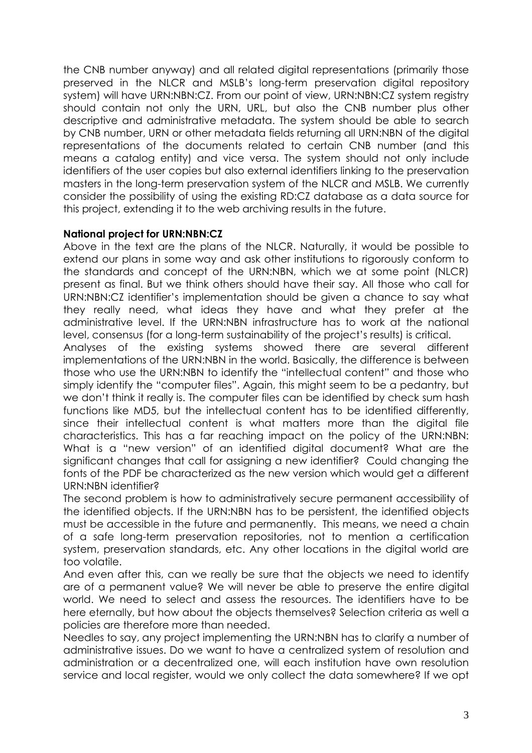the CNB number anyway) and all related digital representations (primarily those preserved in the NLCR and MSLB's long-term preservation digital repository system) will have URN:NBN:CZ. From our point of view, URN:NBN:CZ system registry should contain not only the URN, URL, but also the CNB number plus other descriptive and administrative metadata. The system should be able to search by CNB number, URN or other metadata fields returning all URN:NBN of the digital representations of the documents related to certain CNB number (and this means a catalog entity) and vice versa. The system should not only include identifiers of the user copies but also external identifiers linking to the preservation masters in the long-term preservation system of the NLCR and MSLB. We currently consider the possibility of using the existing RD:CZ database as a data source for this project, extending it to the web archiving results in the future.

# National project for URN:NBN:CZ

Above in the text are the plans of the NLCR. Naturally, it would be possible to extend our plans in some way and ask other institutions to rigorously conform to the standards and concept of the URN:NBN, which we at some point (NLCR) present as final. But we think others should have their say. All those who call for URN:NBN:CZ identifier's implementation should be given a chance to say what they really need, what ideas they have and what they prefer at the administrative level. If the URN:NBN infrastructure has to work at the national level, consensus (for a long-term sustainability of the project's results) is critical.

Analyses of the existing systems showed there are several different implementations of the URN:NBN in the world. Basically, the difference is between those who use the URN:NBN to identify the "intellectual content" and those who simply identify the "computer files". Again, this might seem to be a pedantry, but we don't think it really is. The computer files can be identified by check sum hash functions like MD5, but the intellectual content has to be identified differently, since their intellectual content is what matters more than the digital file characteristics. This has a far reaching impact on the policy of the URN:NBN: What is a "new version" of an identified digital document? What are the significant changes that call for assigning a new identifier? Could changing the fonts of the PDF be characterized as the new version which would get a different URN:NBN identifier?

The second problem is how to administratively secure permanent accessibility of the identified objects. If the URN:NBN has to be persistent, the identified objects must be accessible in the future and permanently. This means, we need a chain of a safe long-term preservation repositories, not to mention a certification system, preservation standards, etc. Any other locations in the digital world are too volatile.

And even after this, can we really be sure that the objects we need to identify are of a permanent value? We will never be able to preserve the entire digital world. We need to select and assess the resources. The identifiers have to be here eternally, but how about the objects themselves? Selection criteria as well a policies are therefore more than needed.

Needles to say, any project implementing the URN:NBN has to clarify a number of administrative issues. Do we want to have a centralized system of resolution and administration or a decentralized one, will each institution have own resolution service and local register, would we only collect the data somewhere? If we opt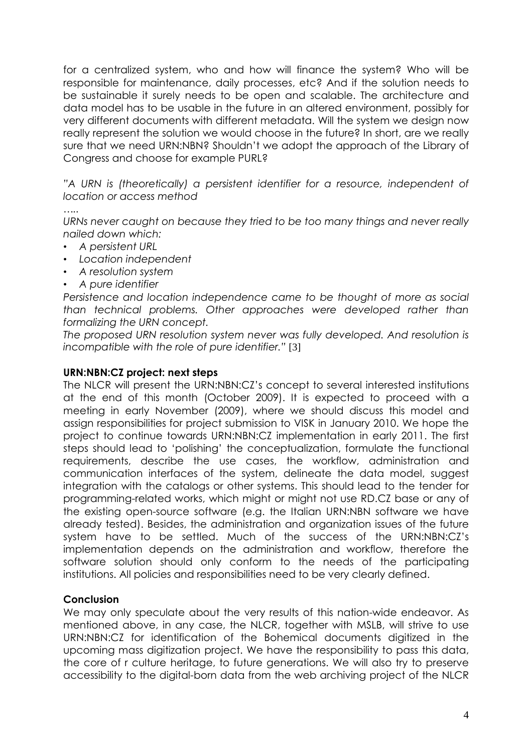for a centralized system, who and how will finance the system? Who will be responsible for maintenance, daily processes, etc? And if the solution needs to be sustainable it surely needs to be open and scalable. The architecture and data model has to be usable in the future in an altered environment, possibly for very different documents with different metadata. Will the system we design now really represent the solution we would choose in the future? In short, are we really sure that we need URN:NBN? Shouldn't we adopt the approach of the Library of Congress and choose for example PURL?

"A URN is (theoretically) a persistent identifier for a resource, independent of location or access method

…..

URNs never caught on because they tried to be too many things and never really nailed down which:

- A persistent URL
- Location independent
- A resolution system
- A pure identifier

Persistence and location independence came to be thought of more as social than technical problems. Other approaches were developed rather than formalizing the URN concept.

The proposed URN resolution system never was fully developed. And resolution is incompatible with the role of pure identifier." [3]

## URN:NBN:CZ project: next steps

The NLCR will present the URN:NBN:CZ's concept to several interested institutions at the end of this month (October 2009). It is expected to proceed with a meeting in early November (2009), where we should discuss this model and assign responsibilities for project submission to VISK in January 2010. We hope the project to continue towards URN:NBN:CZ implementation in early 2011. The first steps should lead to 'polishing' the conceptualization, formulate the functional requirements, describe the use cases, the workflow, administration and communication interfaces of the system, delineate the data model, suggest integration with the catalogs or other systems. This should lead to the tender for programming-related works, which might or might not use RD.CZ base or any of the existing open-source software (e.g. the Italian URN:NBN software we have already tested). Besides, the administration and organization issues of the future system have to be settled. Much of the success of the URN:NBN:CZ's implementation depends on the administration and workflow, therefore the software solution should only conform to the needs of the participating institutions. All policies and responsibilities need to be very clearly defined.

## **Conclusion**

We may only speculate about the very results of this nation-wide endeavor. As mentioned above, in any case, the NLCR, together with MSLB, will strive to use URN:NBN:CZ for identification of the Bohemical documents digitized in the upcoming mass digitization project. We have the responsibility to pass this data, the core of r culture heritage, to future generations. We will also try to preserve accessibility to the digital-born data from the web archiving project of the NLCR